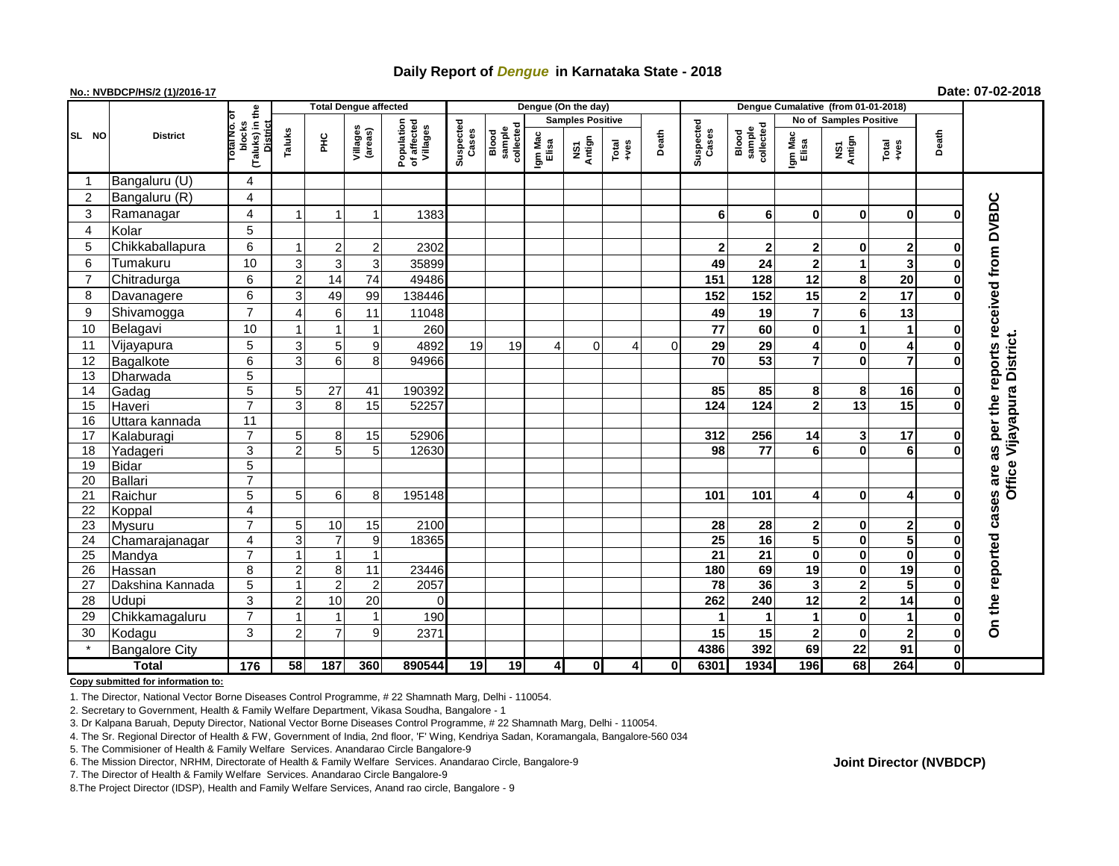## **Daily Report of** *Dengue* **in Karnataka State - 2018**

#### **No.: NVBDCP/HS/2 (1)/2016-17 Date: 07-02-2018**

|                | <b>District</b>       |                                                   | <b>Total Dengue affected</b> |                |                     |                                       |                    |                              |                         | Dengue (On the day)            |               |       |                    |                              |                  |                         |                |              |                             |
|----------------|-----------------------|---------------------------------------------------|------------------------------|----------------|---------------------|---------------------------------------|--------------------|------------------------------|-------------------------|--------------------------------|---------------|-------|--------------------|------------------------------|------------------|-------------------------|----------------|--------------|-----------------------------|
|                |                       |                                                   |                              |                |                     |                                       |                    |                              | <b>Samples Positive</b> |                                |               |       |                    |                              |                  | No of Samples Positive  |                |              |                             |
| SL NO          |                       | (Taluks) in the<br>blocks<br>District<br>otal No. | Taluks                       | ĔС             | Villages<br>(areas) | Population<br>of affected<br>Villages | Suspected<br>Cases | collected<br>sample<br>Blood | Igm Mac<br>Elisa        | Antign<br>$\mathbf{\tilde{s}}$ | Total<br>+ves | Death | Suspected<br>Cases | sample<br>collected<br>Blood | Igm Mac<br>Elisa | NS1<br>Antign           | Total<br>+ves  | Death        |                             |
| -1             | Bangaluru (U)         | 4                                                 |                              |                |                     |                                       |                    |                              |                         |                                |               |       |                    |                              |                  |                         |                |              |                             |
| $\overline{c}$ | Bangaluru (R)         | 4                                                 |                              |                |                     |                                       |                    |                              |                         |                                |               |       |                    |                              |                  |                         |                |              |                             |
| 3              | Ramanagar             | 4                                                 |                              |                |                     | 1383                                  |                    |                              |                         |                                |               |       | 6                  | 6                            | $\bf{0}$         | $\bf{0}$                | $\bf{0}$       | O            | reports received from DVBDC |
| 4              | Kolar                 | $\overline{5}$                                    |                              |                |                     |                                       |                    |                              |                         |                                |               |       |                    |                              |                  |                         |                |              |                             |
| 5              | Chikkaballapura       | 6                                                 |                              | $2 \mid$       | $\overline{2}$      | 2302                                  |                    |                              |                         |                                |               |       | $\mathbf{2}$       | $\mathbf{2}$                 | 2                | 0                       | 2              | 0            |                             |
| 6              | Tumakuru              | 10                                                | 3                            | $\overline{3}$ | 3                   | 35899                                 |                    |                              |                         |                                |               |       | 49                 | 24                           | $\mathbf{2}$     | 1                       | 3              | 0            |                             |
| $\overline{7}$ | Chitradurga           | 6                                                 | $\overline{2}$               | 14             | 74                  | 49486                                 |                    |                              |                         |                                |               |       | 151                | 128                          | 12               | 8                       | 20             | $\bf{0}$     |                             |
| 8              | Davanagere            | 6                                                 | 3                            | 49             | 99                  | 138446                                |                    |                              |                         |                                |               |       | 152                | 152                          | 15               | $\overline{\mathbf{2}}$ | 17             | 0            |                             |
| 9              | Shivamogga            | $\overline{7}$                                    |                              | $6 \mid$       | 11                  | 11048                                 |                    |                              |                         |                                |               |       | 49                 | 19                           | $\overline{7}$   | 6                       | 13             |              |                             |
| 10             | Belagavi              | 10                                                |                              |                |                     | 260                                   |                    |                              |                         |                                |               |       | 77                 | 60                           | $\mathbf 0$      | 1                       | 1              | 0            |                             |
| 11             | Vijayapura            | 5                                                 | 3                            | 5 <sub>5</sub> | 9                   | 4892                                  | 19                 | 19                           | 4                       | $\Omega$                       | 4             | 0     | 29                 | 29                           | 4                | 0                       | 4              | 0            | Office Vijayapura District. |
| 12             | Bagalkote             | $\overline{6}$                                    | 3                            | 6 <sup>1</sup> | 8                   | 94966                                 |                    |                              |                         |                                |               |       | 70                 | 53                           | $\overline{7}$   | $\bf{0}$                | $\overline{7}$ | $\bf{0}$     |                             |
| 13             | Dharwada              | $\overline{5}$                                    |                              |                |                     |                                       |                    |                              |                         |                                |               |       |                    |                              |                  |                         |                |              |                             |
| 14             | Gadag                 | $\overline{5}$                                    | 5 <sup>1</sup>               | 27             | 41                  | 190392                                |                    |                              |                         |                                |               |       | 85                 | 85                           | 8                | 8                       | 16             | $\mathbf 0$  |                             |
| 15             | Haveri                | $\overline{7}$                                    | 3                            | 8 <sup>1</sup> | 15                  | 52257                                 |                    |                              |                         |                                |               |       | $\frac{1}{124}$    | $\overline{124}$             | $\overline{2}$   | $\overline{13}$         | 15             | $\bf{0}$     | per the                     |
| 16             | Uttara kannada        | $\overline{11}$                                   |                              |                |                     |                                       |                    |                              |                         |                                |               |       |                    |                              |                  |                         |                |              |                             |
| 17             | Kalaburagi            | $\overline{7}$                                    | 5                            | 8 <sup>1</sup> | 15                  | 52906                                 |                    |                              |                         |                                |               |       | 312                | 256                          | 14               | 3                       | 17             | $\bf{0}$     |                             |
| 18             | Yadageri              | 3                                                 | $\mathfrak{p}$               | 5 <sub>5</sub> | 5 <sub>l</sub>      | 12630                                 |                    |                              |                         |                                |               |       | 98                 | 77                           | 6                | 0                       | 6              | $\Omega$     | 3g                          |
| 19             | <b>Bidar</b>          | $\overline{5}$                                    |                              |                |                     |                                       |                    |                              |                         |                                |               |       |                    |                              |                  |                         |                |              |                             |
| 20             | <b>Ballari</b>        | $\overline{7}$                                    |                              |                |                     |                                       |                    |                              |                         |                                |               |       |                    |                              |                  |                         |                |              | are                         |
| 21             | Raichur               | $\overline{5}$                                    | 5 <sup>1</sup>               | $6 \mid$       | 8                   | 195148                                |                    |                              |                         |                                |               |       | 101                | 101                          | 4                | 0                       | 4              | O            | cases                       |
| 22             | Koppal                | 4                                                 |                              |                |                     |                                       |                    |                              |                         |                                |               |       |                    |                              |                  |                         |                |              |                             |
| 23             | Mysuru                | $\overline{7}$                                    | 5 <sup>1</sup>               | 10             | 15                  | 2100                                  |                    |                              |                         |                                |               |       | 28                 | 28                           | $\mathbf{2}$     | 0                       | $\mathbf 2$    | $\bf{0}$     |                             |
| 24             | Chamarajanagar        | 4                                                 | 3                            | $\overline{7}$ | 9                   | 18365                                 |                    |                              |                         |                                |               |       | 25                 | 16                           | 5                | 0                       | 5              | $\mathbf 0$  |                             |
| 25             | Mandya                | $\overline{7}$                                    |                              | $\mathbf 1$    | $\mathbf{1}$        |                                       |                    |                              |                         |                                |               |       | $\overline{21}$    | 21                           | 0                | 0                       | $\bf{0}$       | $\bf{0}$     |                             |
| 26             | Hassan                | 8                                                 | 2                            | 8              | 11                  | 23446                                 |                    |                              |                         |                                |               |       | 180                | 69                           | 19               | 0                       | 19             | 0            |                             |
| 27             | Dakshina Kannada      | 5                                                 |                              | $\overline{2}$ | $\overline{2}$      | 2057                                  |                    |                              |                         |                                |               |       | 78                 | 36                           | 3                | 2                       | 5              | $\bf{0}$     |                             |
| 28             | Udupi                 | $\mathfrak{S}$                                    | $\overline{2}$               | 10             | 20                  | $\Omega$                              |                    |                              |                         |                                |               |       | 262                | 240                          | 12               | $\overline{\mathbf{2}}$ | 14             | $\bf{0}$     |                             |
| 29             | Chikkamagaluru        | $\overline{7}$                                    |                              |                | 1                   | 190                                   |                    |                              |                         |                                |               |       | 1                  |                              | 1                | 0                       | $\mathbf{1}$   | $\mathbf 0$  | On the reported             |
| 30             | Kodagu                | 3                                                 | 2                            | $\overline{7}$ | 9                   | 2371                                  |                    |                              |                         |                                |               |       | 15                 | 15                           | $\mathbf{2}$     | $\bf{0}$                | $\overline{2}$ | $\mathbf 0$  |                             |
|                | <b>Bangalore City</b> |                                                   |                              |                |                     |                                       |                    |                              |                         |                                |               |       | 4386               | 392                          | 69               | 22                      | 91             | $\mathbf 0$  |                             |
| <b>Total</b>   |                       | $\frac{1}{176}$                                   | 58                           | 187            | 360                 | 890544                                | 19                 | 19                           | 4                       | $\mathbf{0}$                   | 4             | 0     | 6301               | 1934                         | 196              | 68                      | 264            | $\mathbf{0}$ |                             |

#### **Copy submitted for information to:**

1. The Director, National Vector Borne Diseases Control Programme, # 22 Shamnath Marg, Delhi - 110054.

2. Secretary to Government, Health & Family Welfare Department, Vikasa Soudha, Bangalore - 1

3. Dr Kalpana Baruah, Deputy Director, National Vector Borne Diseases Control Programme, # 22 Shamnath Marg, Delhi - 110054.

4. The Sr. Regional Director of Health & FW, Government of India, 2nd floor, 'F' Wing, Kendriya Sadan, Koramangala, Bangalore-560 034

5. The Commisioner of Health & Family Welfare Services. Anandarao Circle Bangalore-9

7. The Director of Health & Family Welfare Services. Anandarao Circle Bangalore-9

8.The Project Director (IDSP), Health and Family Welfare Services, Anand rao circle, Bangalore - 9

### **Joint Director (NVBDCP)**

<sup>6.</sup> The Mission Director, NRHM, Directorate of Health & Family Welfare Services. Anandarao Circle, Bangalore-9